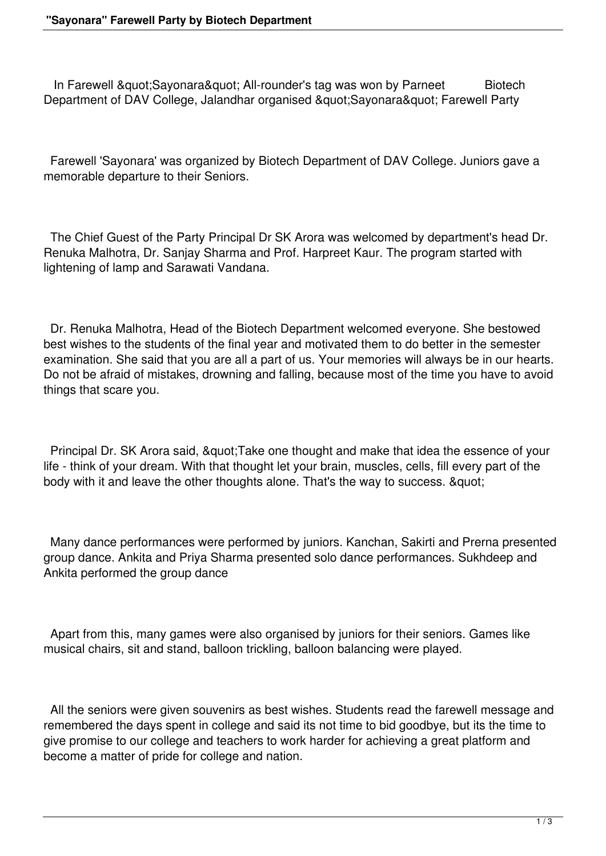In Farewell "Sayonara" All-rounder's tag was won by Parneet Biotech Department of DAV College, Jalandhar organised " Sayonara" Farewell Party

 Farewell 'Sayonara' was organized by Biotech Department of DAV College. Juniors gave a memorable departure to their Seniors.

 The Chief Guest of the Party Principal Dr SK Arora was welcomed by department's head Dr. Renuka Malhotra, Dr. Sanjay Sharma and Prof. Harpreet Kaur. The program started with lightening of lamp and Sarawati Vandana.

 Dr. Renuka Malhotra, Head of the Biotech Department welcomed everyone. She bestowed best wishes to the students of the final year and motivated them to do better in the semester examination. She said that you are all a part of us. Your memories will always be in our hearts. Do not be afraid of mistakes, drowning and falling, because most of the time you have to avoid things that scare you.

Principal Dr. SK Arora said, "Take one thought and make that idea the essence of your life - think of your dream. With that thought let your brain, muscles, cells, fill every part of the body with it and leave the other thoughts alone. That's the way to success. "

 Many dance performances were performed by juniors. Kanchan, Sakirti and Prerna presented group dance. Ankita and Priya Sharma presented solo dance performances. Sukhdeep and Ankita performed the group dance

 Apart from this, many games were also organised by juniors for their seniors. Games like musical chairs, sit and stand, balloon trickling, balloon balancing were played.

 All the seniors were given souvenirs as best wishes. Students read the farewell message and remembered the days spent in college and said its not time to bid goodbye, but its the time to give promise to our college and teachers to work harder for achieving a great platform and become a matter of pride for college and nation.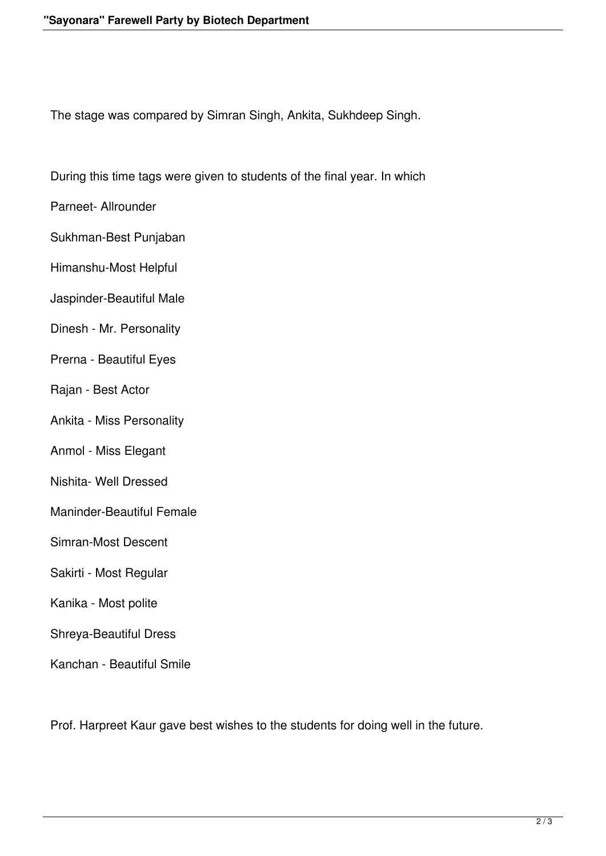The stage was compared by Simran Singh, Ankita, Sukhdeep Singh.

During this time tags were given to students of the final year. In which

Parneet- Allrounder

Sukhman-Best Punjaban

Himanshu-Most Helpful

Jaspinder-Beautiful Male

- Dinesh Mr. Personality
- Prerna Beautiful Eyes
- Rajan Best Actor
- Ankita Miss Personality
- Anmol Miss Elegant
- Nishita- Well Dressed
- Maninder-Beautiful Female
- Simran-Most Descent
- Sakirti Most Regular
- Kanika Most polite
- Shreya-Beautiful Dress
- Kanchan Beautiful Smile

Prof. Harpreet Kaur gave best wishes to the students for doing well in the future.